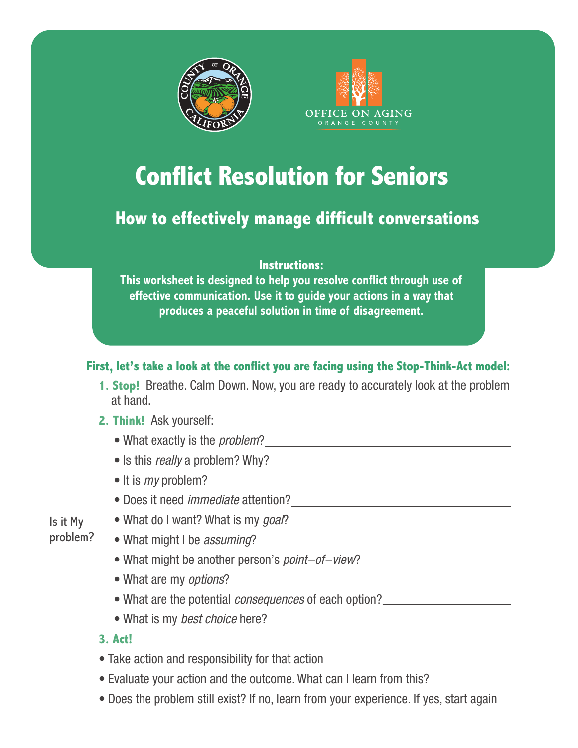



# **Conflict Resolution for Seniors**

# **How to effectively manage difficult conversations**

#### **Instructions:**

**This worksheet is designed to help you resolve conflict through use of effective communication. Use it to guide your actions in a way that produces a peaceful solution in time of disagreement.** 

# **First, let's take a look at the conflict you are facing using the Stop-Think-Act model:**

**1. Stop!** Breathe. Calm Down. Now, you are ready to accurately look at the problem at hand.

#### **2. Think!** Ask yourself:

- What exactly is the problem?
- Is this *really* a problem? Why?
- $\bullet$  It is  $my$  problem?  $\qquad \qquad$
- Does it need immediate attention?
- What do I want? What is my goal?

#### Is it My problem?

- What might I be *assuming*?
- What might be another person's *point-of-view*?
- What are my options?
- What are the potential *consequences* of each option?<br>
<u>• What are the potential consequences</u> of each option?
- What is my *best choice* here?<br>  **What is my** *best choice* here?

#### **3. Act!**

- Take action and responsibility for that action
- Evaluate your action and the outcome. What can I learn from this?
- Does the problem still exist? If no, learn from your experience. If yes, start again